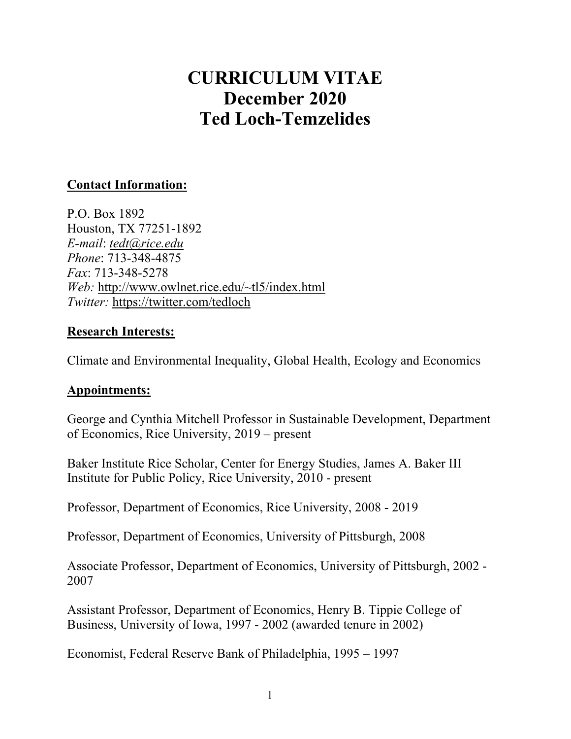# **CURRICULUM VITAE December 2020 Ted Loch-Temzelides**

# **Contact Information:**

P.O. Box 1892 Houston, TX 77251-1892 *E-mail*: *[tedt@rice.edu](mailto:tedt@rice.edu) Phone*: 713-348-4875 *Fax*: 713-348-5278 *Web:* [http://www.owlnet.rice.edu/~tl5/index.html](http://www.owlnet.rice.edu/%7Etl5/index.html) *Twitter:* https://twitter.com/tedloch

#### **Research Interests:**

Climate and Environmental Inequality, Global Health, Ecology and Economics

#### **Appointments:**

George and Cynthia Mitchell Professor in Sustainable Development, Department of Economics, Rice University, 2019 – present

Baker Institute Rice Scholar, Center for Energy Studies, James A. Baker III Institute for Public Policy, Rice University, 2010 - present

Professor, Department of Economics, Rice University, 2008 - 2019

Professor, Department of Economics, University of Pittsburgh, 2008

Associate Professor, Department of Economics, University of Pittsburgh, 2002 - 2007

Assistant Professor, Department of Economics, Henry B. Tippie College of Business, University of Iowa, 1997 - 2002 (awarded tenure in 2002)

Economist, Federal Reserve Bank of Philadelphia, 1995 – 1997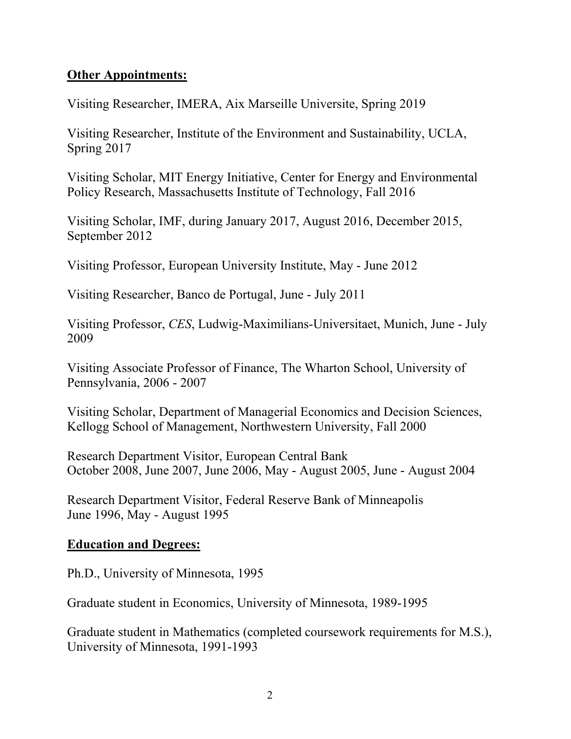### **Other Appointments:**

Visiting Researcher, IMERA, Aix Marseille Universite, Spring 2019

Visiting Researcher, Institute of the Environment and Sustainability, UCLA, Spring 2017

Visiting Scholar, MIT Energy Initiative, Center for Energy and Environmental Policy Research, Massachusetts Institute of Technology, Fall 2016

Visiting Scholar, IMF, during January 2017, August 2016, December 2015, September 2012

Visiting Professor, European University Institute, May - June 2012

Visiting Researcher, Banco de Portugal, June - July 2011

Visiting Professor, *CES*, Ludwig-Maximilians-Universitaet, Munich, June - July 2009

Visiting Associate Professor of Finance, The Wharton School, University of Pennsylvania, 2006 - 2007

Visiting Scholar, Department of Managerial Economics and Decision Sciences, Kellogg School of Management, Northwestern University, Fall 2000

Research Department Visitor, European Central Bank October 2008, June 2007, June 2006, May - August 2005, June - August 2004

Research Department Visitor, Federal Reserve Bank of Minneapolis June 1996, May - August 1995

#### **Education and Degrees:**

Ph.D., University of Minnesota, 1995

Graduate student in Economics, University of Minnesota, 1989-1995

Graduate student in Mathematics (completed coursework requirements for M.S.), University of Minnesota, 1991-1993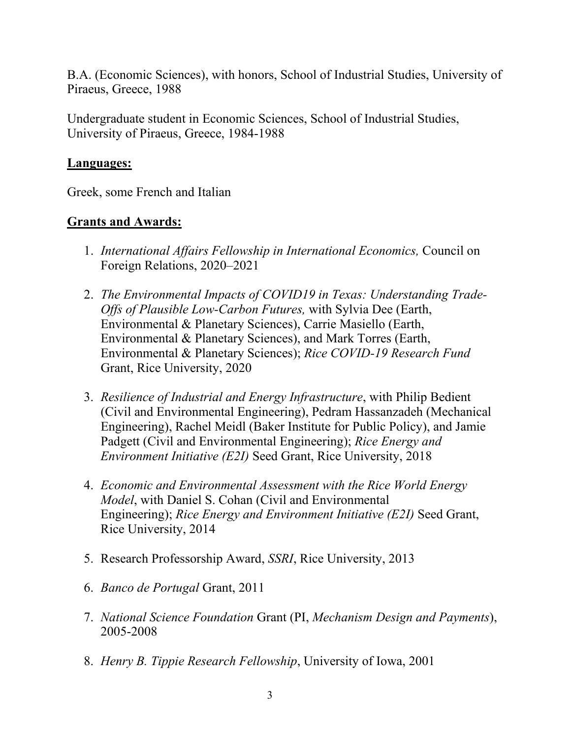B.A. (Economic Sciences), with honors, School of Industrial Studies, University of Piraeus, Greece, 1988

Undergraduate student in Economic Sciences, School of Industrial Studies, University of Piraeus, Greece, 1984-1988

### **Languages:**

Greek, some French and Italian

# **Grants and Awards:**

- 1. *International Affairs Fellowship in International Economics,* Council on Foreign Relations, 2020–2021
- 2. *The Environmental Impacts of COVID19 in Texas: Understanding Trade-Offs of Plausible Low-Carbon Futures,* with Sylvia Dee (Earth, Environmental & Planetary Sciences), Carrie Masiello (Earth, Environmental & Planetary Sciences), and Mark Torres (Earth, Environmental & Planetary Sciences); *Rice COVID-19 Research Fund* Grant, Rice University, 2020
- 3. *Resilience of Industrial and Energy Infrastructure*, with Philip Bedient (Civil and Environmental Engineering), Pedram Hassanzadeh (Mechanical Engineering), Rachel Meidl (Baker Institute for Public Policy), and Jamie Padgett (Civil and Environmental Engineering); *Rice Energy and Environment Initiative (E2I)* Seed Grant, Rice University, 2018
- 4. *Economic and Environmental Assessment with the Rice World Energy Model*, with Daniel S. Cohan (Civil and Environmental Engineering); *Rice Energy and Environment Initiative (E2I)* Seed Grant, Rice University, 2014
- 5. Research Professorship Award, *SSRI*, Rice University, 2013
- 6. *Banco de Portugal* Grant, 2011
- 7. *National Science Foundation* Grant (PI, *Mechanism Design and Payments*), 2005-2008
- 8. *Henry B. Tippie Research Fellowship*, University of Iowa, 2001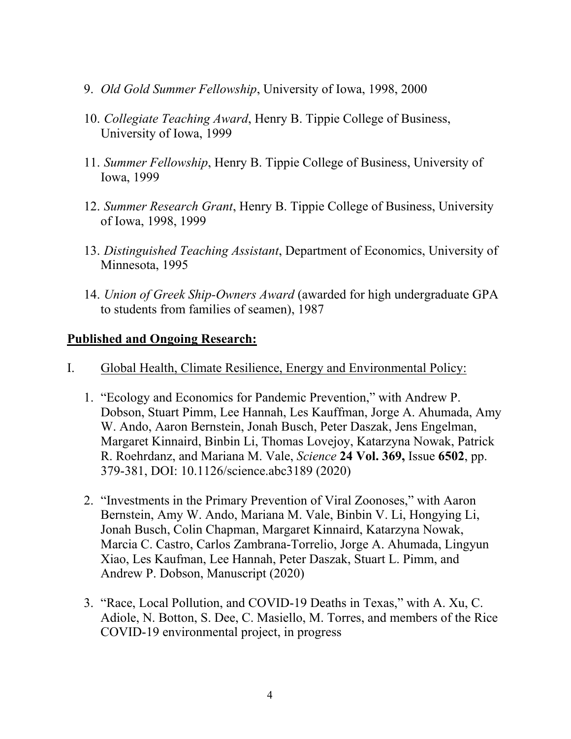- 9. *Old Gold Summer Fellowship*, University of Iowa, 1998, 2000
- 10. *Collegiate Teaching Award*, Henry B. Tippie College of Business, University of Iowa, 1999
- 11. *Summer Fellowship*, Henry B. Tippie College of Business, University of Iowa, 1999
- 12. *Summer Research Grant*, Henry B. Tippie College of Business, University of Iowa, 1998, 1999
- 13. *Distinguished Teaching Assistant*, Department of Economics, University of Minnesota, 1995
- 14. *Union of Greek Ship-Owners Award* (awarded for high undergraduate GPA to students from families of seamen), 1987

#### **Published and Ongoing Research:**

- I. Global Health, Climate Resilience, Energy and Environmental Policy:
	- 1. "Ecology and Economics for Pandemic Prevention," with Andrew P. Dobson, Stuart Pimm, Lee Hannah, Les Kauffman, Jorge A. Ahumada, Amy W. Ando, Aaron Bernstein, Jonah Busch, Peter Daszak, Jens Engelman, Margaret Kinnaird, Binbin Li, Thomas Lovejoy, Katarzyna Nowak, Patrick R. Roehrdanz, and Mariana M. Vale, *Science* **24 Vol. 369,** Issue **6502**, pp. 379-381, DOI: 10.1126/science.abc3189 (2020)
	- 2. "Investments in the Primary Prevention of Viral Zoonoses," with Aaron Bernstein, Amy W. Ando, Mariana M. Vale, Binbin V. Li, Hongying Li, Jonah Busch, Colin Chapman, Margaret Kinnaird, Katarzyna Nowak, Marcia C. Castro, Carlos Zambrana-Torrelio, Jorge A. Ahumada, Lingyun Xiao, Les Kaufman, Lee Hannah, Peter Daszak, Stuart L. Pimm, and Andrew P. Dobson, Manuscript (2020)
	- 3. "Race, Local Pollution, and COVID-19 Deaths in Texas," with A. Xu, C. Adiole, N. Botton, S. Dee, C. Masiello, M. Torres, and members of the Rice COVID-19 environmental project, in progress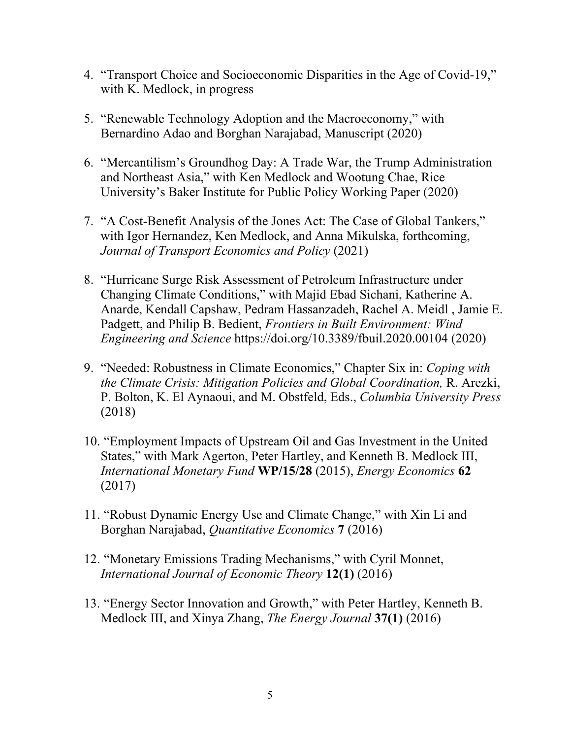- 4. "Transport Choice and Socioeconomic Disparities in the Age of Covid-19," with K. Medlock, in progress
- 5. "Renewable Technology Adoption and the Macroeconomy," with Bernardino Adao and Borghan Narajabad, Manuscript (2020)
- 6. "Mercantilism's Groundhog Day: A Trade War, the Trump Administration and Northeast Asia," with Ken Medlock and Wootung Chae, Rice University's Baker Institute for Public Policy Working Paper (2020)
- 7. "A Cost-Benefit Analysis of the Jones Act: The Case of Global Tankers," with Igor Hernandez, Ken Medlock, and Anna Mikulska, forthcoming, *Journal of Transport Economics and Policy* (2021)
- 8. "Hurricane Surge Risk Assessment of Petroleum Infrastructure under Changing Climate Conditions," with Majid Ebad Sichani, Katherine A. Anarde, Kendall Capshaw, Pedram Hassanzadeh, Rachel A. Meidl , Jamie E. Padgett, and Philip B. Bedient, *Frontiers in Built Environment: Wind Engineering and Science* https://doi.org/10.3389/fbuil.2020.00104 (2020)
- 9. "Needed: Robustness in Climate Economics," Chapter Six in: *Coping with the Climate Crisis: Mitigation Policies and Global Coordination,* R. Arezki, P. Bolton, K. El Aynaoui, and M. Obstfeld, Eds., *Columbia University Press* (2018)
- 10. "Employment Impacts of Upstream Oil and Gas Investment in the United States," with Mark Agerton, Peter Hartley, and Kenneth B. Medlock III, *International Monetary Fund* **WP/15/28** (2015), *Energy Economics* **62**  (2017)
- 11. "Robust Dynamic Energy Use and Climate Change," with Xin Li and Borghan Narajabad, *Quantitative Economics* **7** (2016)
- 12. "Monetary Emissions Trading Mechanisms," with Cyril Monnet, *International Journal of Economic Theory* **12(1)** (2016)
- 13. "Energy Sector Innovation and Growth," with Peter Hartley, Kenneth B. Medlock III, and Xinya Zhang, *The Energy Journal* **37(1)** (2016)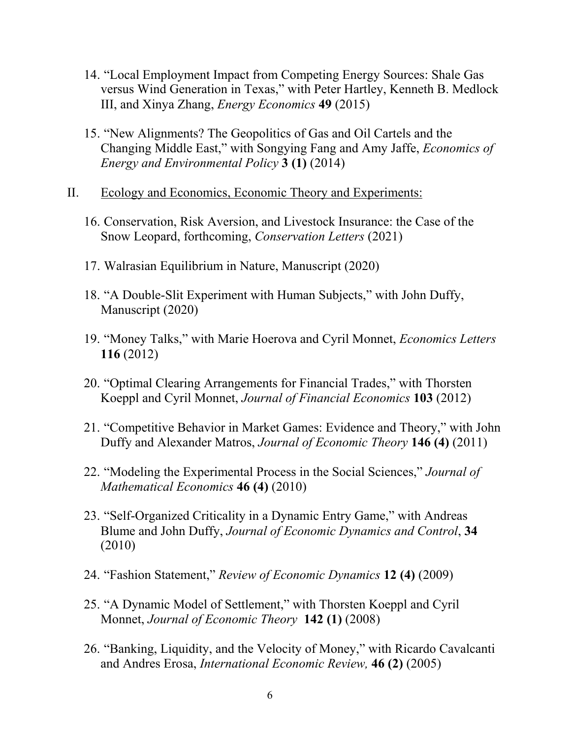- 14. "Local Employment Impact from Competing Energy Sources: Shale Gas versus Wind Generation in Texas," with Peter Hartley, Kenneth B. Medlock III, and Xinya Zhang, *Energy Economics* **49** (2015)
- 15. "New Alignments? The Geopolitics of Gas and Oil Cartels and the Changing Middle East," with Songying Fang and Amy Jaffe, *Economics of Energy and Environmental Policy* **3 (1)** (2014)
- II. Ecology and Economics, Economic Theory and Experiments:
	- 16. Conservation, Risk Aversion, and Livestock Insurance: the Case of the Snow Leopard, forthcoming, *Conservation Letters* (2021)
	- 17. Walrasian Equilibrium in Nature, Manuscript (2020)
	- 18. "A Double-Slit Experiment with Human Subjects," with John Duffy, Manuscript (2020)
	- 19. "Money Talks," with Marie Hoerova and Cyril Monnet, *Economics Letters*  **116** (2012)
	- 20. "Optimal Clearing Arrangements for Financial Trades," with Thorsten Koeppl and Cyril Monnet, *Journal of Financial Economics* **103** (2012)
	- 21. "Competitive Behavior in Market Games: Evidence and Theory," with John Duffy and Alexander Matros, *Journal of Economic Theory* **146 (4)** (2011)
	- 22. "Modeling the Experimental Process in the Social Sciences," *Journal of Mathematical Economics* **46 (4)** (2010)
	- 23. "Self-Organized Criticality in a Dynamic Entry Game," with Andreas Blume and John Duffy, *Journal of Economic Dynamics and Control*, **34**  (2010)
	- 24. "Fashion Statement," *Review of Economic Dynamics* **12 (4)** (2009)
	- 25. "A Dynamic Model of Settlement," with Thorsten Koeppl and Cyril Monnet, *Journal of Economic Theory* **142 (1)** (2008)
	- 26. "Banking, Liquidity, and the Velocity of Money," with Ricardo Cavalcanti and Andres Erosa, *International Economic Review,* **46 (2)** (2005)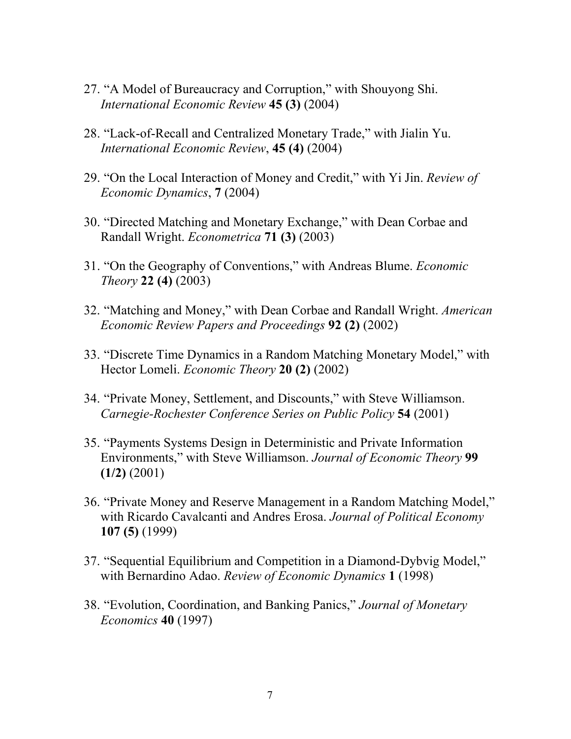- 27. "A Model of Bureaucracy and Corruption," with Shouyong Shi. *International Economic Review* **45 (3)** (2004)
- 28. "Lack-of-Recall and Centralized Monetary Trade," with Jialin Yu. *International Economic Review*, **45 (4)** (2004)
- 29. "On the Local Interaction of Money and Credit," with Yi Jin. *Review of Economic Dynamics*, **7** (2004)
- 30. "Directed Matching and Monetary Exchange," with Dean Corbae and Randall Wright. *Econometrica* **71 (3)** (2003)
- 31. "On the Geography of Conventions," with Andreas Blume. *Economic Theory* **22 (4)** (2003)
- 32. "Matching and Money," with Dean Corbae and Randall Wright. *American Economic Review Papers and Proceedings* **92 (2)** (2002)
- 33. "Discrete Time Dynamics in a Random Matching Monetary Model," with Hector Lomeli. *Economic Theory* **20 (2)** (2002)
- 34. "Private Money, Settlement, and Discounts," with Steve Williamson. *Carnegie-Rochester Conference Series on Public Policy* **54** (2001)
- 35. "Payments Systems Design in Deterministic and Private Information Environments," with Steve Williamson. *Journal of Economic Theory* **99 (1/2)** (2001)
- 36. "Private Money and Reserve Management in a Random Matching Model," with Ricardo Cavalcanti and Andres Erosa. *Journal of Political Economy*  **107 (5)** (1999)
- 37. "Sequential Equilibrium and Competition in a Diamond-Dybvig Model," with Bernardino Adao. *Review of Economic Dynamics* **1** (1998)
- 38. "Evolution, Coordination, and Banking Panics," *Journal of Monetary Economics* **40** (1997)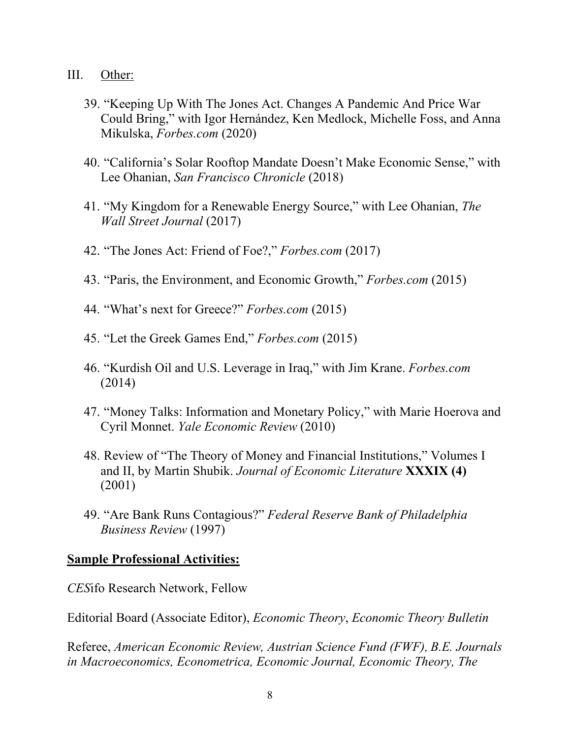- III. Other:
	- 39. "Keeping Up With The Jones Act. Changes A Pandemic And Price War Could Bring," with Igor Hernández, Ken Medlock, Michelle Foss, and Anna Mikulska, *Forbes.com* (2020)
	- 40. "California's Solar Rooftop Mandate Doesn't Make Economic Sense," with Lee Ohanian, *San Francisco Chronicle* (2018)
	- 41. "My Kingdom for a Renewable Energy Source," with Lee Ohanian, *The Wall Street Journal* (2017)
	- 42. "The Jones Act: Friend of Foe?," *Forbes.com* (2017)
	- 43. "Paris, the Environment, and Economic Growth," *Forbes.com* (2015)
	- 44. "What's next for Greece?" *Forbes.com* (2015)
	- 45. "Let the Greek Games End," *Forbes.com* (2015)
	- 46. "Kurdish Oil and U.S. Leverage in Iraq," with Jim Krane. *Forbes.com* (2014)
	- 47. "Money Talks: Information and Monetary Policy," with Marie Hoerova and Cyril Monnet. *Yale Economic Review* (2010)
	- 48. Review of "The Theory of Money and Financial Institutions," Volumes I and II, by Martin Shubik. *Journal of Economic Literature* **XXXIX (4)**  (2001)
	- 49. "Are Bank Runs Contagious?" *Federal Reserve Bank of Philadelphia Business Review* (1997)

#### **Sample Professional Activities:**

*CES*ifo Research Network, Fellow

Editorial Board (Associate Editor), *Economic Theory*, *Economic Theory Bulletin*

Referee, *American Economic Review, Austrian Science Fund (FWF), B.E. Journals in Macroeconomics, Econometrica, Economic Journal, Economic Theory, The*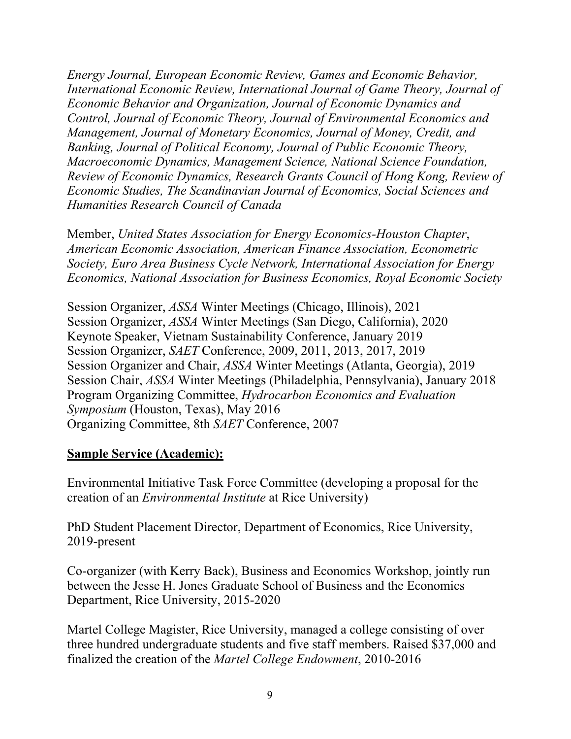*Energy Journal, European Economic Review, Games and Economic Behavior, International Economic Review, International Journal of Game Theory, Journal of Economic Behavior and Organization, Journal of Economic Dynamics and Control, Journal of Economic Theory, Journal of Environmental Economics and Management, Journal of Monetary Economics, Journal of Money, Credit, and Banking, Journal of Political Economy, Journal of Public Economic Theory, Macroeconomic Dynamics, Management Science, National Science Foundation, Review of Economic Dynamics, Research Grants Council of Hong Kong, Review of Economic Studies, The Scandinavian Journal of Economics, Social Sciences and Humanities Research Council of Canada*

Member, *United States Association for Energy Economics-Houston Chapter*, *American Economic Association, American Finance Association, Econometric Society, Euro Area Business Cycle Network, International Association for Energy Economics, National Association for Business Economics, Royal Economic Society*

Session Organizer, *ASSA* Winter Meetings (Chicago, Illinois), 2021 Session Organizer, *ASSA* Winter Meetings (San Diego, California), 2020 Keynote Speaker, Vietnam Sustainability Conference, January 2019 Session Organizer, *SAET* Conference, 2009, 2011, 2013, 2017, 2019 Session Organizer and Chair, *ASSA* Winter Meetings (Atlanta, Georgia), 2019 Session Chair, *ASSA* Winter Meetings (Philadelphia, Pennsylvania), January 2018 Program Organizing Committee, *Hydrocarbon Economics and Evaluation Symposium* (Houston, Texas), May 2016 Organizing Committee, 8th *SAET* Conference, 2007

# **Sample Service (Academic):**

Environmental Initiative Task Force Committee (developing a proposal for the creation of an *Environmental Institute* at Rice University)

PhD Student Placement Director, Department of Economics, Rice University, 2019-present

Co-organizer (with Kerry Back), Business and Economics Workshop, jointly run between the Jesse H. Jones Graduate School of Business and the Economics Department, Rice University, 2015-2020

Martel College Magister, Rice University, managed a college consisting of over three hundred undergraduate students and five staff members. Raised \$37,000 and finalized the creation of the *Martel College Endowment*, 2010-2016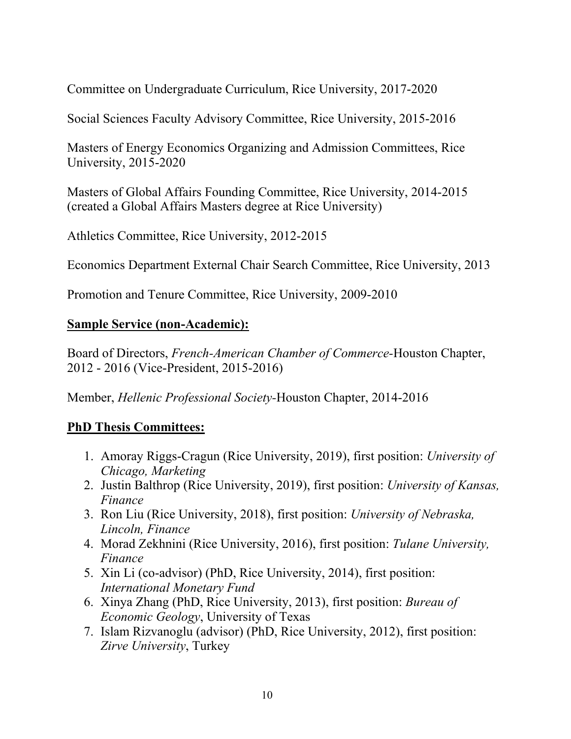Committee on Undergraduate Curriculum, Rice University, 2017-2020

Social Sciences Faculty Advisory Committee, Rice University, 2015-2016

Masters of Energy Economics Organizing and Admission Committees, Rice University, 2015-2020

Masters of Global Affairs Founding Committee, Rice University, 2014-2015 (created a Global Affairs Masters degree at Rice University)

Athletics Committee, Rice University, 2012-2015

Economics Department External Chair Search Committee, Rice University, 2013

Promotion and Tenure Committee, Rice University, 2009-2010

# **Sample Service (non-Academic):**

Board of Directors, *French-American Chamber of Commerce-*Houston Chapter, 2012 - 2016 (Vice-President, 2015-2016)

Member, *Hellenic Professional Society-*Houston Chapter, 2014-2016

# **PhD Thesis Committees:**

- 1. Amoray Riggs-Cragun (Rice University, 2019), first position: *University of Chicago, Marketing*
- 2. Justin Balthrop (Rice University, 2019), first position: *University of Kansas, Finance*
- 3. Ron Liu (Rice University, 2018), first position: *University of Nebraska, Lincoln, Finance*
- 4. Morad Zekhnini (Rice University, 2016), first position: *Tulane University, Finance*
- 5. Xin Li (co-advisor) (PhD, Rice University, 2014), first position: *International Monetary Fund*
- 6. Xinya Zhang (PhD, Rice University, 2013), first position: *Bureau of Economic Geology*, University of Texas
- 7. Islam Rizvanoglu (advisor) (PhD, Rice University, 2012), first position: *Zirve University*, Turkey